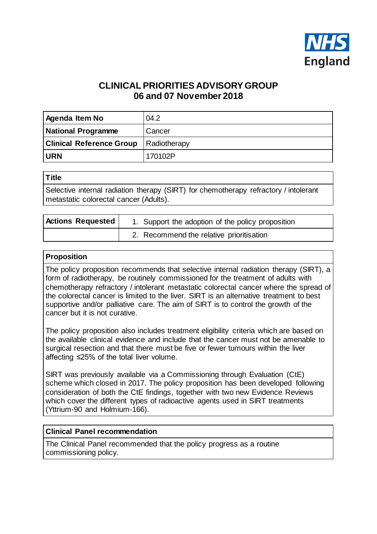

# **CLINICAL PRIORITIES ADVISORY GROUP 06 and 07 November 2018**

| Agenda Item No                  | 04.2         |
|---------------------------------|--------------|
| <b>National Programme</b>       | Cancer       |
| <b>Clinical Reference Group</b> | Radiotherapy |
| <b>URN</b>                      | 170102P      |

| $\sim$<br>۰. |
|--------------|
|--------------|

Selective internal radiation therapy (SIRT) for chemotherapy refractory / intolerant metastatic colorectal cancer (Adults).

| <b>Actions Requested</b> | 1. Support the adoption of the policy proposition |
|--------------------------|---------------------------------------------------|
|                          | 2. Recommend the relative prioritisation          |

#### **Proposition**

The policy proposition recommends that selective internal radiation therapy (SIRT), a form of radiotherapy, be routinely commissioned for the treatment of adults with chemotherapy refractory / intolerant metastatic colorectal cancer where the spread of the colorectal cancer is limited to the liver. SIRT is an alternative treatment to best supportive and/or palliative care. The aim of SIRT is to control the growth of the cancer but it is not curative.

The policy proposition also includes treatment eligibility criteria which are based on the available clinical evidence and include that the cancer must not be amenable to surgical resection and that there must be five or fewer tumours within the liver affecting ≤25% of the total liver volume.

SIRT was previously available via a Commissioning through Evaluation (CtE) scheme which closed in 2017. The policy proposition has been developed following consideration of both the CtE findings, together with two new Evidence Reviews which cover the different types of radioactive agents used in SIRT treatments (Yttrium-90 and Holmium-166).

#### **Clinical Panel recommendation**

The Clinical Panel recommended that the policy progress as a routine commissioning policy.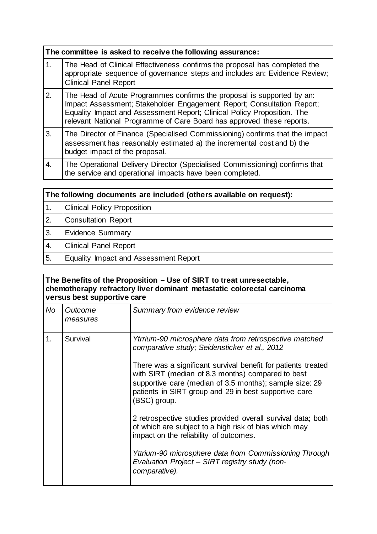|                | The committee is asked to receive the following assurance:                                                                                                                                                                                                                                           |  |  |
|----------------|------------------------------------------------------------------------------------------------------------------------------------------------------------------------------------------------------------------------------------------------------------------------------------------------------|--|--|
| $\mathbf{1}$ . | The Head of Clinical Effectiveness confirms the proposal has completed the<br>appropriate sequence of governance steps and includes an: Evidence Review;<br><b>Clinical Panel Report</b>                                                                                                             |  |  |
| 2.             | The Head of Acute Programmes confirms the proposal is supported by an:<br>Impact Assessment; Stakeholder Engagement Report; Consultation Report;<br>Equality Impact and Assessment Report; Clinical Policy Proposition. The<br>relevant National Programme of Care Board has approved these reports. |  |  |
| 3.             | The Director of Finance (Specialised Commissioning) confirms that the impact<br>assessment has reasonably estimated a) the incremental cost and b) the<br>budget impact of the proposal.                                                                                                             |  |  |
| 4.             | The Operational Delivery Director (Specialised Commissioning) confirms that<br>the service and operational impacts have been completed.                                                                                                                                                              |  |  |

| The following documents are included (others available on request): |                                              |  |
|---------------------------------------------------------------------|----------------------------------------------|--|
| 1.                                                                  | <b>Clinical Policy Proposition</b>           |  |
| 2.                                                                  | <b>Consultation Report</b>                   |  |
| 3.                                                                  | <b>Evidence Summary</b>                      |  |
| 4.                                                                  | <b>Clinical Panel Report</b>                 |  |
| 5.                                                                  | <b>Equality Impact and Assessment Report</b> |  |

| The Benefits of the Proposition - Use of SIRT to treat unresectable,<br>chemotherapy refractory liver dominant metastatic colorectal carcinoma<br>versus best supportive care |                     |                                                                                                                                                                                                                                                        |
|-------------------------------------------------------------------------------------------------------------------------------------------------------------------------------|---------------------|--------------------------------------------------------------------------------------------------------------------------------------------------------------------------------------------------------------------------------------------------------|
| No                                                                                                                                                                            | Outcome<br>measures | Summary from evidence review                                                                                                                                                                                                                           |
| 1.                                                                                                                                                                            | Survival            | Ytrrium-90 microsphere data from retrospective matched<br>comparative study; Seidensticker et al., 2012                                                                                                                                                |
|                                                                                                                                                                               |                     | There was a significant survival benefit for patients treated<br>with SIRT (median of 8.3 months) compared to best<br>supportive care (median of 3.5 months); sample size: 29<br>patients in SIRT group and 29 in best supportive care<br>(BSC) group. |
|                                                                                                                                                                               |                     | 2 retrospective studies provided overall survival data; both<br>of which are subject to a high risk of bias which may<br>impact on the reliability of outcomes.                                                                                        |
|                                                                                                                                                                               |                     | Yttrium-90 microsphere data from Commissioning Through<br>Evaluation Project - SIRT registry study (non-<br>comparative).                                                                                                                              |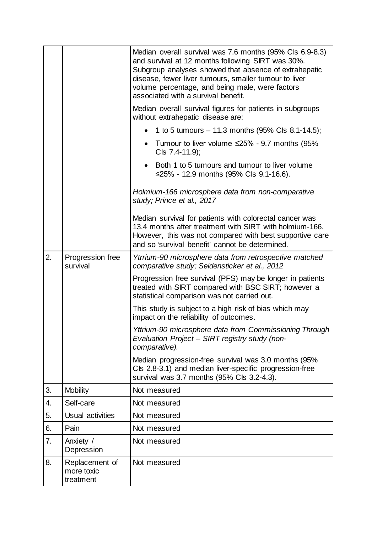|    |                                           | Median overall survival was 7.6 months (95% Cls 6.9-8.3)<br>and survival at 12 months following SIRT was 30%.<br>Subgroup analyses showed that absence of extrahepatic<br>disease, fewer liver tumours, smaller tumour to liver<br>volume percentage, and being male, were factors<br>associated with a survival benefit. |
|----|-------------------------------------------|---------------------------------------------------------------------------------------------------------------------------------------------------------------------------------------------------------------------------------------------------------------------------------------------------------------------------|
|    |                                           | Median overall survival figures for patients in subgroups<br>without extrahepatic disease are:                                                                                                                                                                                                                            |
|    |                                           | 1 to 5 tumours $-$ 11.3 months (95% Cls 8.1-14.5);                                                                                                                                                                                                                                                                        |
|    |                                           | Tumour to liver volume $\leq$ 25% - 9.7 months (95%<br>$\bullet$<br>Cls 7.4-11.9);                                                                                                                                                                                                                                        |
|    |                                           | Both 1 to 5 tumours and tumour to liver volume<br>≤25% - 12.9 months (95% Cls 9.1-16.6).                                                                                                                                                                                                                                  |
|    |                                           | Holmium-166 microsphere data from non-comparative<br>study; Prince et al., 2017                                                                                                                                                                                                                                           |
|    |                                           | Median survival for patients with colorectal cancer was<br>13.4 months after treatment with SIRT with holmium-166.<br>However, this was not compared with best supportive care<br>and so 'survival benefit' cannot be determined.                                                                                         |
| 2. | Progression free<br>survival              | Ytrrium-90 microsphere data from retrospective matched<br>comparative study; Seidensticker et al., 2012                                                                                                                                                                                                                   |
|    |                                           | Progression free survival (PFS) may be longer in patients<br>treated with SIRT compared with BSC SIRT; however a<br>statistical comparison was not carried out.                                                                                                                                                           |
|    |                                           | This study is subject to a high risk of bias which may<br>impact on the reliability of outcomes.                                                                                                                                                                                                                          |
|    |                                           | Yttrium-90 microsphere data from Commissioning Through<br>Evaluation Project - SIRT registry study (non-<br>comparative).                                                                                                                                                                                                 |
|    |                                           | Median progression-free survival was 3.0 months (95%<br>Cls 2.8-3.1) and median liver-specific progression-free<br>survival was 3.7 months (95% Cls 3.2-4.3).                                                                                                                                                             |
| 3. | <b>Mobility</b>                           | Not measured                                                                                                                                                                                                                                                                                                              |
| 4. | Self-care                                 | Not measured                                                                                                                                                                                                                                                                                                              |
| 5. | Usual activities                          | Not measured                                                                                                                                                                                                                                                                                                              |
| 6. | Pain                                      | Not measured                                                                                                                                                                                                                                                                                                              |
| 7. | Anxiety /<br>Depression                   | Not measured                                                                                                                                                                                                                                                                                                              |
| 8. | Replacement of<br>more toxic<br>treatment | Not measured                                                                                                                                                                                                                                                                                                              |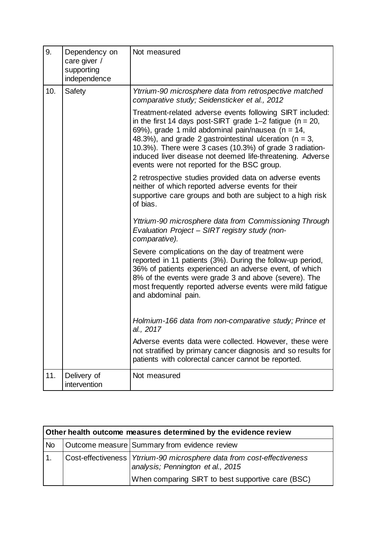| 9.  | Dependency on<br>care giver /<br>supporting<br>independence | Not measured                                                                                                                                                                                                                                                                                                                                                                                                                |
|-----|-------------------------------------------------------------|-----------------------------------------------------------------------------------------------------------------------------------------------------------------------------------------------------------------------------------------------------------------------------------------------------------------------------------------------------------------------------------------------------------------------------|
| 10. | Safety                                                      | Ytrrium-90 microsphere data from retrospective matched<br>comparative study; Seidensticker et al., 2012                                                                                                                                                                                                                                                                                                                     |
|     |                                                             | Treatment-related adverse events following SIRT included:<br>in the first 14 days post-SIRT grade 1–2 fatigue ( $n = 20$ ,<br>69%), grade 1 mild abdominal pain/nausea ( $n = 14$ ,<br>48.3%), and grade 2 gastrointestinal ulceration ( $n = 3$ ,<br>10.3%). There were 3 cases (10.3%) of grade 3 radiation-<br>induced liver disease not deemed life-threatening. Adverse<br>events were not reported for the BSC group. |
|     |                                                             | 2 retrospective studies provided data on adverse events<br>neither of which reported adverse events for their<br>supportive care groups and both are subject to a high risk<br>of bias.                                                                                                                                                                                                                                     |
|     |                                                             | Yttrium-90 microsphere data from Commissioning Through<br>Evaluation Project - SIRT registry study (non-<br>comparative).                                                                                                                                                                                                                                                                                                   |
|     |                                                             | Severe complications on the day of treatment were<br>reported in 11 patients (3%). During the follow-up period,<br>36% of patients experienced an adverse event, of which<br>8% of the events were grade 3 and above (severe). The<br>most frequently reported adverse events were mild fatigue<br>and abdominal pain.                                                                                                      |
|     |                                                             | Holmium-166 data from non-comparative study; Prince et<br>al., 2017                                                                                                                                                                                                                                                                                                                                                         |
|     |                                                             | Adverse events data were collected. However, these were<br>not stratified by primary cancer diagnosis and so results for<br>patients with colorectal cancer cannot be reported.                                                                                                                                                                                                                                             |
| 11. | Delivery of<br>intervention                                 | Not measured                                                                                                                                                                                                                                                                                                                                                                                                                |

| Other health outcome measures determined by the evidence review |  |                                                                                                                                                                    |
|-----------------------------------------------------------------|--|--------------------------------------------------------------------------------------------------------------------------------------------------------------------|
| <b>No</b>                                                       |  | Outcome measure Summary from evidence review                                                                                                                       |
|                                                                 |  | Cost-effectiveness   Ytrrium-90 microsphere data from cost-effectiveness<br>analysis; Pennington et al., 2015<br>When comparing SIRT to best supportive care (BSC) |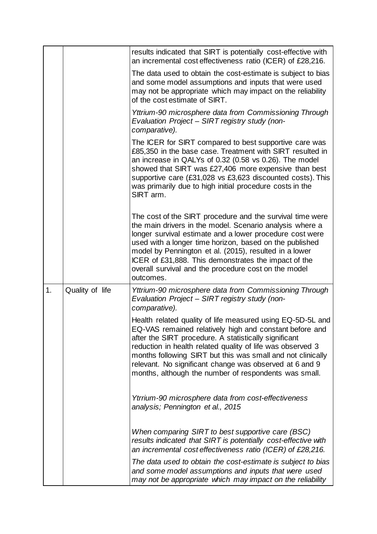|    |                 | results indicated that SIRT is potentially cost-effective with<br>an incremental cost effectiveness ratio (ICER) of £28,216.                                                                                                                                                                                                                                                                                                        |
|----|-----------------|-------------------------------------------------------------------------------------------------------------------------------------------------------------------------------------------------------------------------------------------------------------------------------------------------------------------------------------------------------------------------------------------------------------------------------------|
|    |                 | The data used to obtain the cost-estimate is subject to bias<br>and some model assumptions and inputs that were used<br>may not be appropriate which may impact on the reliability<br>of the cost estimate of SIRT.                                                                                                                                                                                                                 |
|    |                 | Yttrium-90 microsphere data from Commissioning Through<br>Evaluation Project - SIRT registry study (non-<br>comparative).                                                                                                                                                                                                                                                                                                           |
|    |                 | The ICER for SIRT compared to best supportive care was<br>£85,350 in the base case. Treatment with SIRT resulted in<br>an increase in QALYs of 0.32 (0.58 vs 0.26). The model<br>showed that SIRT was £27,406 more expensive than best<br>supportive care (£31,028 vs £3,623 discounted costs). This<br>was primarily due to high initial procedure costs in the<br>SIRT arm.                                                       |
|    |                 | The cost of the SIRT procedure and the survival time were<br>the main drivers in the model. Scenario analysis where a<br>longer survival estimate and a lower procedure cost were<br>used with a longer time horizon, based on the published<br>model by Pennington et al. (2015), resulted in a lower<br>ICER of £31,888. This demonstrates the impact of the<br>overall survival and the procedure cost on the model<br>outcomes. |
| 1. | Quality of life | Yttrium-90 microsphere data from Commissioning Through<br>Evaluation Project - SIRT registry study (non-<br>comparative).                                                                                                                                                                                                                                                                                                           |
|    |                 | Health related quality of life measured using EQ-5D-5L and<br>EQ-VAS remained relatively high and constant before and<br>after the SIRT procedure. A statistically significant<br>reduction in health related quality of life was observed 3<br>months following SIRT but this was small and not clinically<br>relevant. No significant change was observed at 6 and 9<br>months, although the number of respondents was small.     |
|    |                 | Ytrrium-90 microsphere data from cost-effectiveness<br>analysis; Pennington et al., 2015                                                                                                                                                                                                                                                                                                                                            |
|    |                 | When comparing SIRT to best supportive care (BSC)<br>results indicated that SIRT is potentially cost-effective with<br>an incremental cost effectiveness ratio (ICER) of £28,216.                                                                                                                                                                                                                                                   |
|    |                 | The data used to obtain the cost-estimate is subject to bias<br>and some model assumptions and inputs that were used<br>may not be appropriate which may impact on the reliability                                                                                                                                                                                                                                                  |